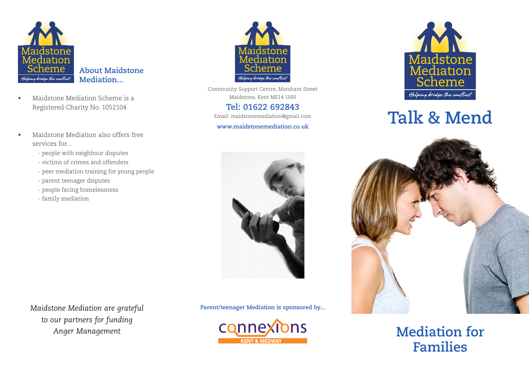

- Maidstone Mediation Scheme is a Registered Charity No. 1052104
- Maidstone Mediation also offers free services for...
	- people with neighbour disputes
	- victims of crimes and offenders
	- peer mediation training for young people
	- parent teenager disputes
	- people facing homelessness
	- family mediation



Community Support Centre, Marsham Street Maidstone, Kent ME14 1HH

### **Tel: 01622 692843**

Email: maidstonemediation@gmail.com

#### **www.maidstonemediation.co.uk**



*Maidstone Mediation are grateful* **Parent/teenager Mediation is sponsored by...**





# **Talk & Mend**



**Mediation for Families**

*to our partners for funding Anger Management*